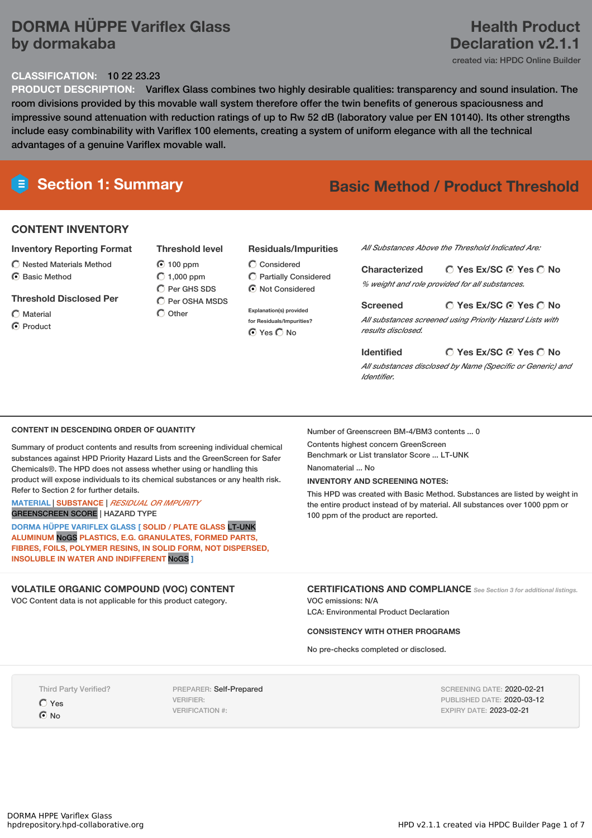## **DORMA HÜPPE Variflex Glass by dormakaba**

#### **CLASSIFICATION:** 10 22 23.23

**PRODUCT DESCRIPTION:** Variflex Glass combines two highly desirable qualities: transparency and sound insulation. The room divisions provided by this movable wall system therefore offer the twin benefits of generous spaciousness and impressive sound attenuation with reduction ratings of up to Rw 52 dB (laboratory value per EN 10140). Its other strengths include easy combinability with Variflex 100 elements, creating a system of uniform elegance with all the technical advantages of a genuine Variflex movable wall.

# **Section 1: Summary Basic Method / Product Threshold**

## **CONTENT INVENTORY**

### **Inventory Reporting Format**

 $\bigcirc$  Nested Materials Method C Basic Method

## **Threshold Disclosed Per**

- Material
- C Product

## **Threshold level**  $\odot$  100 ppm

 $O$  1,000 ppm  $\bigcap$  Per GHS SDS C Per OSHA MSDS  $\bigcap$  Other

#### **Residuals/Impurities**

- Considered Partially Considered  $\odot$  Not Considered
- **Explanation(s) provided for Residuals/Impurities?** ⊙ Yes O No

### *All Substances Above the Threshold Indicated Are:*

**Yes Ex/SC Yes No Characterized** *% weight and role provided for all substances.*

#### **Yes Ex/SC Yes No Screened** *All substances screened using Priority Hazard Lists with results disclosed.*

#### **Identified**

*All substances disclosed by Name (Specific or Generic) and Identifier.*

**Yes Ex/SC Yes No**

#### **CONTENT IN DESCENDING ORDER OF QUANTITY**

Summary of product contents and results from screening individual chemical substances against HPD Priority Hazard Lists and the GreenScreen for Safer Chemicals®. The HPD does not assess whether using or handling this product will expose individuals to its chemical substances or any health risk. Refer to Section 2 for further details.

#### **MATERIAL** | **SUBSTANCE** | *RESIDUAL OR IMPURITY* GREENSCREEN SCORE | HAZARD TYPE

**DORMA HÜPPE VARIFLEX GLASS [ SOLID / PLATE GLASS** LT-UNK **ALUMINUM** NoGS **PLASTICS, E.G. GRANULATES, FORMED PARTS, FIBRES, FOILS, POLYMER RESINS, IN SOLID FORM, NOT DISPERSED, INSOLUBLE IN WATER AND INDIFFERENT** NoGS **]**

## **VOLATILE ORGANIC COMPOUND (VOC) CONTENT**

VOC Content data is not applicable for this product category.

#### Number of Greenscreen BM-4/BM3 contents ... 0

Contents highest concern GreenScreen Benchmark or List translator Score ... LT-UNK

### Nanomaterial No.

**INVENTORY AND SCREENING NOTES:**

This HPD was created with Basic Method. Substances are listed by weight in the entire product instead of by material. All substances over 1000 ppm or 100 ppm of the product are reported.

**CERTIFICATIONS AND COMPLIANCE** *See Section <sup>3</sup> for additional listings.*

VOC emissions: N/A LCA: Environmental Product Declaration

### **CONSISTENCY WITH OTHER PROGRAMS**

No pre-checks completed or disclosed.

Third Party Verified?

Yes  $\odot$  No

PREPARER: Self-Prepared VERIFIER: VERIFICATION #:

SCREENING DATE: 2020-02-21 PUBLISHED DATE: 2020-03-12 EXPIRY DATE: 2023-02-21

## **Health Product Declaration v2.1.1**

created via: HPDC Online Builder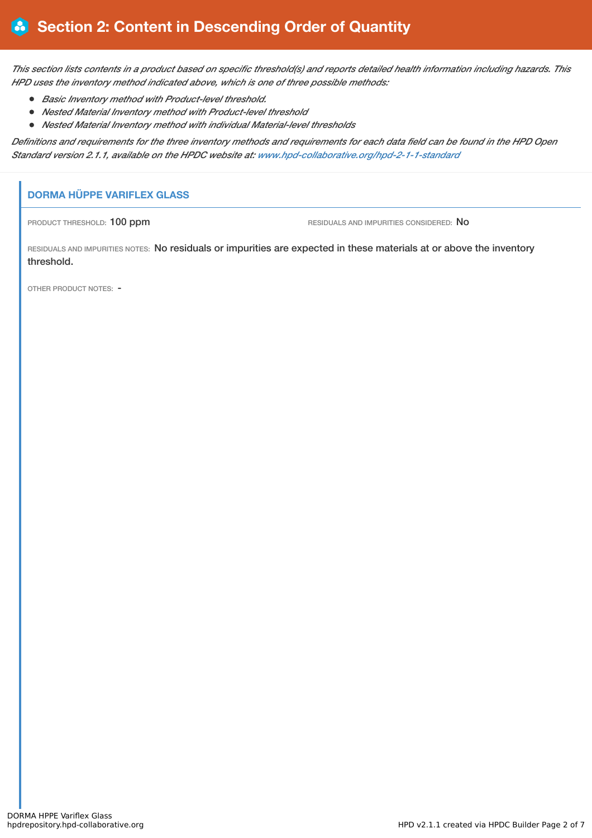This section lists contents in a product based on specific threshold(s) and reports detailed health information including hazards. This *HPD uses the inventory method indicated above, which is one of three possible methods:*

- *Basic Inventory method with Product-level threshold.*
- *Nested Material Inventory method with Product-level threshold*
- *Nested Material Inventory method with individual Material-level thresholds*

Definitions and requirements for the three inventory methods and requirements for each data field can be found in the HPD Open *Standard version 2.1.1, available on the HPDC website at: [www.hpd-collaborative.org/hpd-2-1-1-standard](https://www.hpd-collaborative.org/hpd-2-1-1-standard)*

## **DORMA HÜPPE VARIFLEX GLASS**

PRODUCT THRESHOLD: 100 ppm **RESIDUALS AND IMPURITIES CONSIDERED:** No

RESIDUALS AND IMPURITIES NOTES: No residuals or impurities are expected in these materials at or above the inventory threshold.

OTHER PRODUCT NOTES: -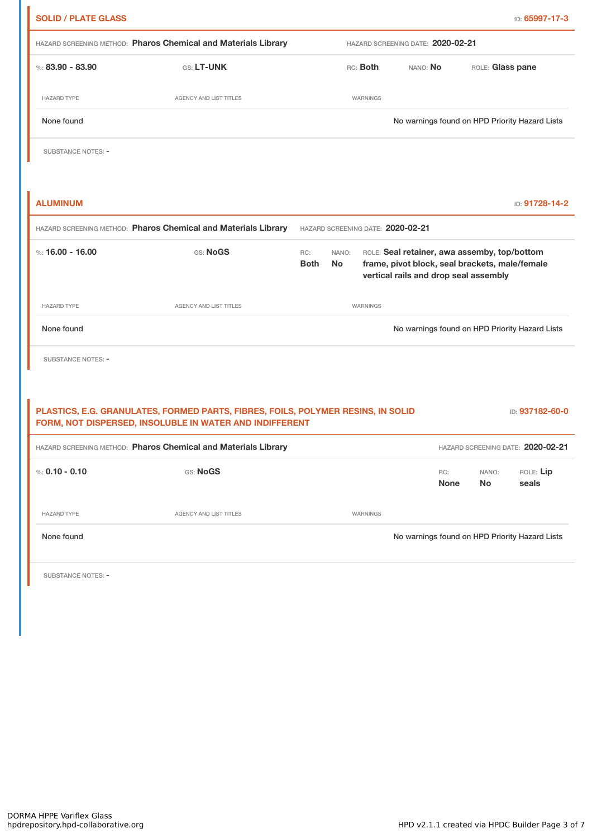| HAZARD SCREENING METHOD: Pharos Chemical and Materials Library | HAZARD SCREENING DATE: 2020-02-21                                                |                    |                    |                                   |                                                                                                                                         |                    |                    |
|----------------------------------------------------------------|----------------------------------------------------------------------------------|--------------------|--------------------|-----------------------------------|-----------------------------------------------------------------------------------------------------------------------------------------|--------------------|--------------------|
| %: $83.90 - 83.90$                                             | GS: LT-UNK                                                                       |                    |                    | RC: Both                          | NANO: No                                                                                                                                | ROLE: Glass pane   |                    |
| <b>HAZARD TYPE</b>                                             | AGENCY AND LIST TITLES                                                           |                    |                    | WARNINGS                          |                                                                                                                                         |                    |                    |
| None found                                                     |                                                                                  |                    |                    |                                   | No warnings found on HPD Priority Hazard Lists                                                                                          |                    |                    |
| SUBSTANCE NOTES: -                                             |                                                                                  |                    |                    |                                   |                                                                                                                                         |                    |                    |
|                                                                |                                                                                  |                    |                    |                                   |                                                                                                                                         |                    |                    |
| <b>ALUMINUM</b>                                                |                                                                                  |                    |                    |                                   |                                                                                                                                         |                    | ID: 91728-14-2     |
|                                                                | HAZARD SCREENING METHOD: Pharos Chemical and Materials Library                   |                    |                    |                                   | HAZARD SCREENING DATE: 2020-02-21                                                                                                       |                    |                    |
| %: 16.00 - 16.00                                               | GS: NoGS                                                                         | RC:<br><b>Both</b> | NANO:<br><b>No</b> |                                   | ROLE: Seal retainer, awa assemby, top/bottom<br>frame, pivot block, seal brackets, male/female<br>vertical rails and drop seal assembly |                    |                    |
| <b>HAZARD TYPE</b>                                             | AGENCY AND LIST TITLES                                                           |                    |                    | <b>WARNINGS</b>                   |                                                                                                                                         |                    |                    |
| None found                                                     |                                                                                  |                    |                    |                                   | No warnings found on HPD Priority Hazard Lists                                                                                          |                    |                    |
| <b>SUBSTANCE NOTES: -</b>                                      |                                                                                  |                    |                    |                                   |                                                                                                                                         |                    |                    |
|                                                                | PLASTICS, E.G. GRANULATES, FORMED PARTS, FIBRES, FOILS, POLYMER RESINS, IN SOLID |                    |                    |                                   |                                                                                                                                         |                    | ID: 937182-60-0    |
|                                                                | FORM, NOT DISPERSED, INSOLUBLE IN WATER AND INDIFFERENT                          |                    |                    |                                   |                                                                                                                                         |                    |                    |
| HAZARD SCREENING METHOD: Pharos Chemical and Materials Library |                                                                                  |                    |                    | HAZARD SCREENING DATE: 2020-02-21 |                                                                                                                                         |                    |                    |
| %: $0.10 - 0.10$                                               | GS: NoGS                                                                         |                    |                    |                                   | RC:<br><b>None</b>                                                                                                                      | NANO:<br><b>No</b> | ROLE: Lip<br>seals |
| <b>HAZARD TYPE</b>                                             | AGENCY AND LIST TITLES                                                           |                    |                    | WARNINGS                          |                                                                                                                                         |                    |                    |
|                                                                |                                                                                  |                    |                    |                                   |                                                                                                                                         |                    |                    |
| None found                                                     |                                                                                  |                    |                    |                                   | No warnings found on HPD Priority Hazard Lists                                                                                          |                    |                    |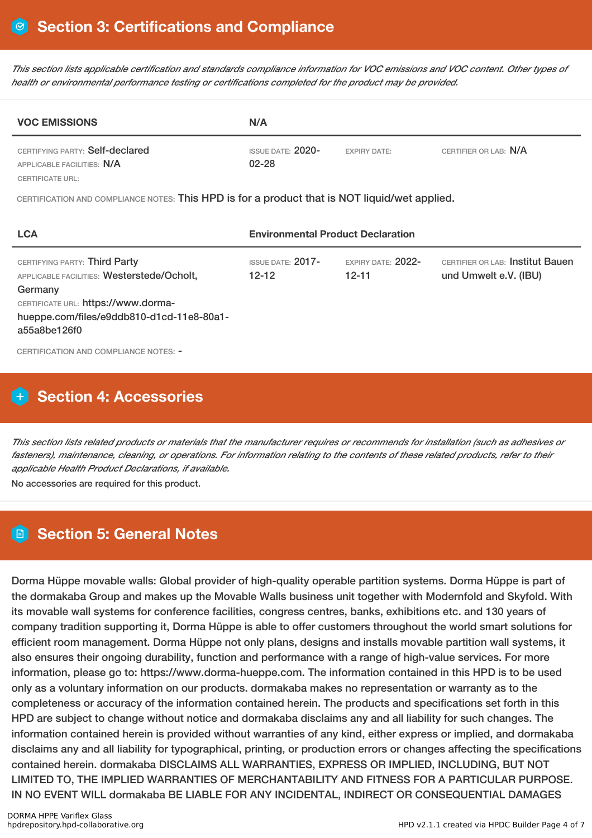This section lists applicable certification and standards compliance information for VOC emissions and VOC content. Other types of *health or environmental performance testing or certifications completed for the product may be provided.*

| <b>VOC EMISSIONS</b>                                          | N/A                                   |                     |                       |  |  |  |
|---------------------------------------------------------------|---------------------------------------|---------------------|-----------------------|--|--|--|
| CERTIFYING PARTY: Self-declared<br>APPLICABLE FACILITIES: N/A | <b>ISSUE DATE: 2020-</b><br>$02 - 28$ | <b>EXPIRY DATE:</b> | CERTIFIER OR LAB: N/A |  |  |  |
| CERTIFICATE URL:                                              |                                       |                     |                       |  |  |  |

CERTIFICATION AND COMPLIANCE NOTES: This HPD is for a product that is NOT liquid/wet applied.

| <b>LCA</b>                                                                                                                                                                                 | <b>Environmental Product Declaration</b> |                                   |                                                           |  |  |
|--------------------------------------------------------------------------------------------------------------------------------------------------------------------------------------------|------------------------------------------|-----------------------------------|-----------------------------------------------------------|--|--|
| CERTIFYING PARTY: Third Party<br>APPLICABLE FACILITIES: Westerstede/Ocholt,<br>Germany<br>CERTIFICATE URL: https://www.dorma-<br>hueppe.com/files/e9ddb810-d1cd-11e8-80a1-<br>a55a8be126f0 | <b>ISSUE DATE: 2017-</b><br>$12 - 12$    | EXPIRY DATE: $2022-$<br>$12 - 11$ | CERTIFIER OR LAB: Institut Bauen<br>und Umwelt e.V. (IBU) |  |  |
| CERTIFICATION AND COMPLIANCE NOTES: -                                                                                                                                                      |                                          |                                   |                                                           |  |  |

## **Section 4: Accessories**

This section lists related products or materials that the manufacturer requires or recommends for installation (such as adhesives or fasteners), maintenance, cleaning, or operations. For information relating to the contents of these related products, refer to their *applicable Health Product Declarations, if available.*

No accessories are required for this product.

## **Section 5: General Notes**

Dorma Hüppe movable walls: Global provider of high-quality operable partition systems. Dorma Hüppe is part of the dormakaba Group and makes up the Movable Walls business unit together with Modernfold and Skyfold. With its movable wall systems for conference facilities, congress centres, banks, exhibitions etc. and 130 years of company tradition supporting it, Dorma Hüppe is able to offer customers throughout the world smart solutions for efficient room management. Dorma Hüppe not only plans, designs and installs movable partition wall systems, it also ensures their ongoing durability, function and performance with a range of high-value services. For more information, please go to: https://www.dorma-hueppe.com. The information contained in this HPD is to be used only as a voluntary information on our products. dormakaba makes no representation or warranty as to the completeness or accuracy of the information contained herein. The products and specifications set forth in this HPD are subject to change without notice and dormakaba disclaims any and all liability for such changes. The information contained herein is provided without warranties of any kind, either express or implied, and dormakaba disclaims any and all liability for typographical, printing, or production errors or changes affecting the specifications contained herein. dormakaba DISCLAIMS ALL WARRANTIES, EXPRESS OR IMPLIED, INCLUDING, BUT NOT LIMITED TO, THE IMPLIED WARRANTIES OF MERCHANTABILITY AND FITNESS FOR A PARTICULAR PURPOSE. IN NO EVENT WILL dormakaba BE LIABLE FOR ANY INCIDENTAL, INDIRECT OR CONSEQUENTIAL DAMAGES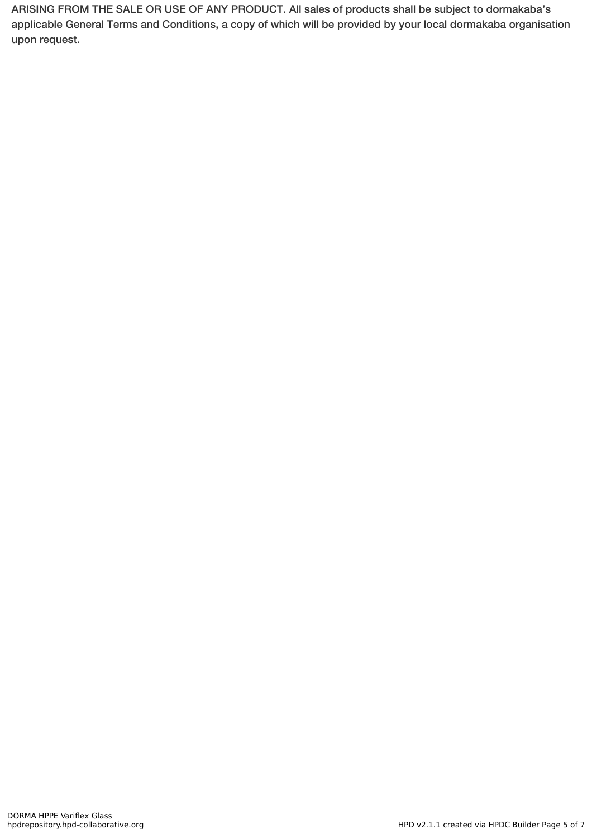ARISING FROM THE SALE OR USE OF ANY PRODUCT. All sales of products shall be subject to dormakaba's applicable General Terms and Conditions, a copy of which will be provided by your local dormakaba organisation upon request.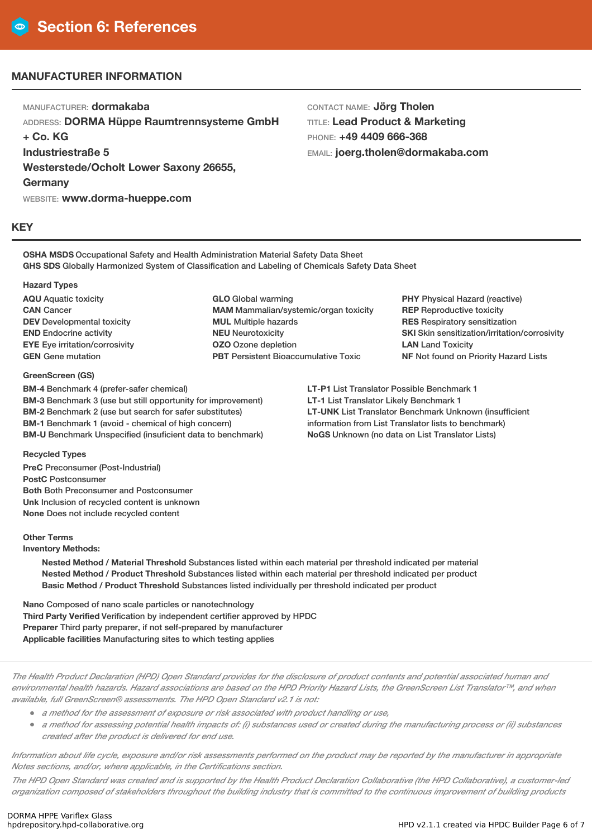## **MANUFACTURER INFORMATION**

MANUFACTURER: **dormakaba** ADDRESS: **DORMA Hüppe Raumtrennsysteme GmbH + Co. KG Industriestraße 5 Westerstede/Ocholt Lower Saxony 26655, Germany** WEBSITE: **www.dorma-hueppe.com**

CONTACT NAME: **Jörg Tholen** TITLE: **Lead Product & Marketing** PHONE: **+49 4409 666-368** EMAIL: **joerg.tholen@dormakaba.com**

#### **KEY**

**OSHA MSDS** Occupational Safety and Health Administration Material Safety Data Sheet **GHS SDS** Globally Harmonized System of Classification and Labeling of Chemicals Safety Data Sheet

#### **Hazard Types**

**AQU** Aquatic toxicity **CAN** Cancer **DEV** Developmental toxicity **END** Endocrine activity **EYE** Eye irritation/corrosivity **GEN** Gene mutation

#### **GreenScreen (GS)**

**BM-4** Benchmark 4 (prefer-safer chemical) **BM-3** Benchmark 3 (use but still opportunity for improvement) **BM-2** Benchmark 2 (use but search for safer substitutes) **BM-1** Benchmark 1 (avoid - chemical of high concern) **BM-U** Benchmark Unspecified (insuficient data to benchmark)

**GLO** Global warming **MAM** Mammalian/systemic/organ toxicity **MUL** Multiple hazards **NEU** Neurotoxicity **OZO** Ozone depletion **PBT** Persistent Bioaccumulative Toxic

**PHY** Physical Hazard (reactive) **REP** Reproductive toxicity **RES** Respiratory sensitization **SKI** Skin sensitization/irritation/corrosivity **LAN** Land Toxicity **NF** Not found on Priority Hazard Lists

**LT-P1** List Translator Possible Benchmark 1 **LT-1** List Translator Likely Benchmark 1 **LT-UNK** List Translator Benchmark Unknown (insufficient information from List Translator lists to benchmark) **NoGS** Unknown (no data on List Translator Lists)

#### **Recycled Types**

**PreC** Preconsumer (Post-Industrial) **PostC** Postconsumer **Both** Both Preconsumer and Postconsumer **Unk** Inclusion of recycled content is unknown **None** Does not include recycled content

#### **Other Terms**

**Inventory Methods:**

**Nested Method / Material Threshold** Substances listed within each material per threshold indicated per material **Nested Method / Product Threshold** Substances listed within each material per threshold indicated per product **Basic Method / Product Threshold** Substances listed individually per threshold indicated per product

**Nano** Composed of nano scale particles or nanotechnology **Third Party Verified** Verification by independent certifier approved by HPDC **Preparer** Third party preparer, if not self-prepared by manufacturer **Applicable facilities** Manufacturing sites to which testing applies

The Health Product Declaration (HPD) Open Standard provides for the disclosure of product contents and potential associated human and environmental health hazards. Hazard associations are based on the HPD Priority Hazard Lists, the GreenScreen List Translator™, and when *available, full GreenScreen® assessments. The HPD Open Standard v2.1 is not:*

- *<sup>a</sup> method for the assessment of exposure or risk associated with product handling or use,*
- a method for assessing potential health impacts of: (i) substances used or created during the manufacturing process or (ii) substances *created after the product is delivered for end use.*

Information about life cycle, exposure and/or risk assessments performed on the product may be reported by the manufacturer in appropriate *Notes sections, and/or, where applicable, in the Certifications section.*

The HPD Open Standard was created and is supported by the Health Product Declaration Collaborative (the HPD Collaborative), a customer-led organization composed of stakeholders throughout the building industry that is committed to the continuous improvement of building products